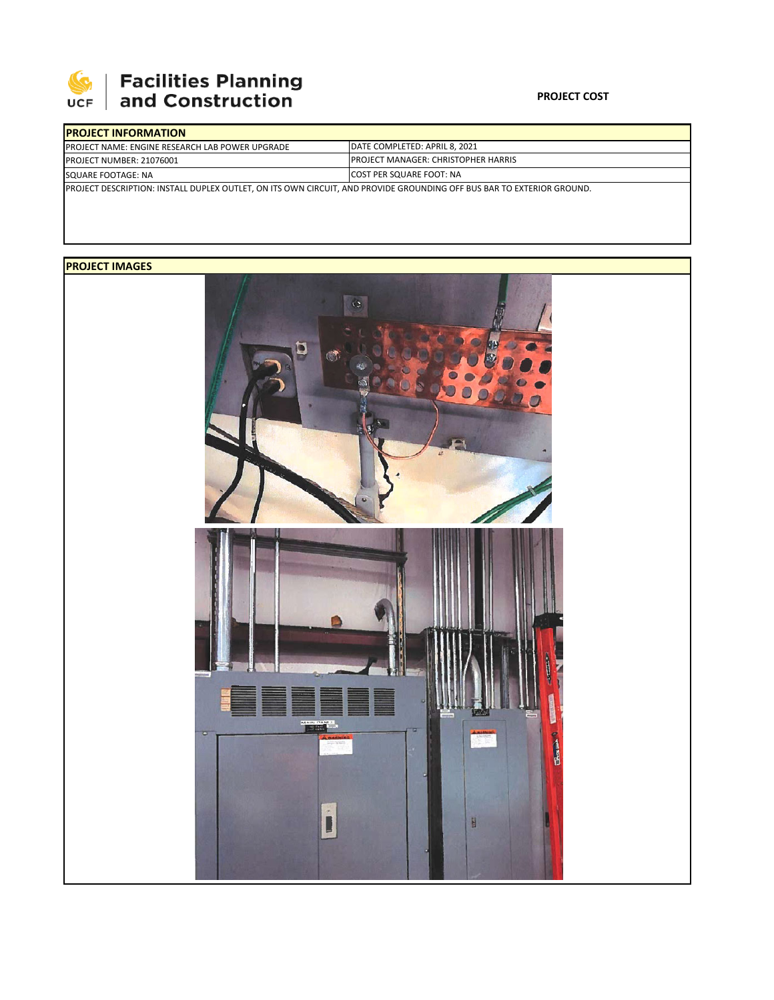

# | Facilities Planning<br>| and Construction

#### **PROJECT COST**

| <b>IPROJECT INFORMATION</b>                                                                                                  |                                                                                |  |  |  |  |  |
|------------------------------------------------------------------------------------------------------------------------------|--------------------------------------------------------------------------------|--|--|--|--|--|
| <b>IPROJECT NAME: ENGINE RESEARCH LAB POWER UPGRADE</b>                                                                      | <b>IDATE COMPLETED: APRIL 8. 2021</b>                                          |  |  |  |  |  |
| PROJECT NUMBER: 21076001                                                                                                     | <b>PROJECT MANAGER: CHRISTOPHER HARRIS</b><br><b>ICOST PER SQUARE FOOT: NA</b> |  |  |  |  |  |
| SQUARE FOOTAGE: NA                                                                                                           |                                                                                |  |  |  |  |  |
| <b>PROJECT DESCRIPTION: INSTALL DUPLEX OUTLET, ON ITS OWN CIRCUIT, AND PROVIDE GROUNDING OFF BUS BAR TO EXTERIOR GROUND.</b> |                                                                                |  |  |  |  |  |

### **PROJECT IMAGES**